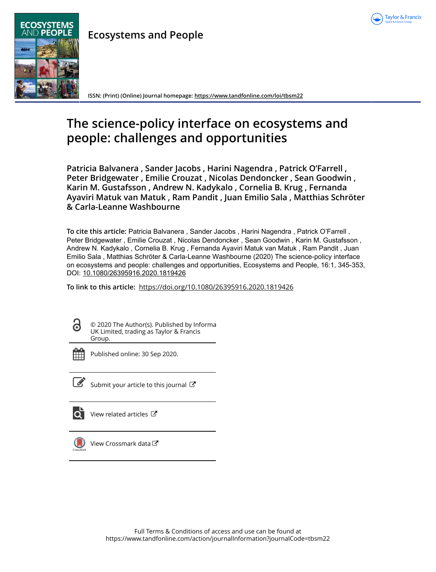

## **Ecosystems and People**



**ISSN: (Print) (Online) Journal homepage:<https://www.tandfonline.com/loi/tbsm22>**

# **The science-policy interface on ecosystems and people: challenges and opportunities**

**Patricia Balvanera , Sander Jacobs , Harini Nagendra , Patrick O'Farrell , Peter Bridgewater , Emilie Crouzat , Nicolas Dendoncker , Sean Goodwin , Karin M. Gustafsson , Andrew N. Kadykalo , Cornelia B. Krug , Fernanda Ayaviri Matuk van Matuk , Ram Pandit , Juan Emilio Sala , Matthias Schröter & Carla-Leanne Washbourne**

**To cite this article:** Patricia Balvanera , Sander Jacobs , Harini Nagendra , Patrick O'Farrell , Peter Bridgewater , Emilie Crouzat , Nicolas Dendoncker , Sean Goodwin , Karin M. Gustafsson , Andrew N. Kadykalo , Cornelia B. Krug , Fernanda Ayaviri Matuk van Matuk , Ram Pandit , Juan Emilio Sala , Matthias Schröter & Carla-Leanne Washbourne (2020) The science-policy interface on ecosystems and people: challenges and opportunities, Ecosystems and People, 16:1, 345-353, DOI: [10.1080/26395916.2020.1819426](https://www.tandfonline.com/action/showCitFormats?doi=10.1080/26395916.2020.1819426)

**To link to this article:** <https://doi.org/10.1080/26395916.2020.1819426>

© 2020 The Author(s). Published by Informa UK Limited, trading as Taylor & Francis Group.



Published online: 30 Sep 2020.



 $\overline{\mathscr{L}}$  [Submit your article to this journal](https://www.tandfonline.com/action/authorSubmission?journalCode=tbsm22&show=instructions)  $\mathbb{Z}$ 

| $\frac{1}{2}$ |  |
|---------------|--|
|               |  |

[View related articles](https://www.tandfonline.com/doi/mlt/10.1080/26395916.2020.1819426)  $\mathbb{Z}$ 



[View Crossmark data](http://crossmark.crossref.org/dialog/?doi=10.1080/26395916.2020.1819426&domain=pdf&date_stamp=2020-09-30)<sup>C</sup>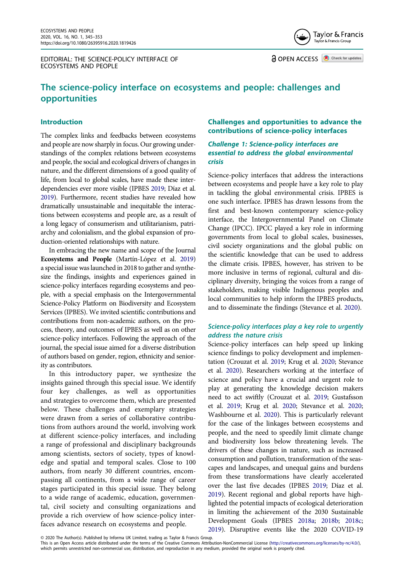EDITORIAL: THE SCIENCE-POLICY INTERFACE OF ECOSYSTEMS AND PEOPLE



**a** OPEN ACCESS **a** Check for updates

## **The science-policy interface on ecosystems and people: challenges and opportunities**

#### **Introduction**

The complex links and feedbacks between ecosystems and people are now sharply in focus. Our growing understandings of the complex relations between ecosystems and people, the social and ecological drivers of changes in nature, and the different dimensions of a good quality of life, from local to global scales, have made these interdependencies ever more visible (IPBES [2019;](#page-8-0) Díaz et al. [2019](#page-8-1)). Furthermore, recent studies have revealed how dramatically unsustainable and inequitable the interactions between ecosystems and people are, as a result of a long legacy of consumerism and utilitarianism, patriarchy and colonialism, and the global expansion of production-oriented relationships with nature.

In embracing the new name and scope of the Journal **Ecosystems and People** (Martín-López et al. [2019\)](#page-8-2) a special issue was launched in 2018 to gather and synthesize the findings, insights and experiences gained in science-policy interfaces regarding ecosystems and people, with a special emphasis on the Intergovernmental Science-Policy Platform on Biodiversity and Ecosystem Services (IPBES). We invited scientific contributions and contributions from non-academic authors, on the process, theory, and outcomes of IPBES as well as on other science-policy interfaces. Following the approach of the journal, the special issue aimed for a diverse distribution of authors based on gender, region, ethnicity and seniority as contributors.

In this introductory paper, we synthesize the insights gained through this special issue. We identify four key challenges, as well as opportunities and strategies to overcome them, which are presented below. These challenges and exemplary strategies were drawn from a series of collaborative contributions from authors around the world, involving work at different science-policy interfaces, and including a range of professional and disciplinary backgrounds among scientists, sectors of society, types of knowledge and spatial and temporal scales. Close to 100 authors, from nearly 30 different countries, encompassing all continents, from a wide range of career stages participated in this special issue. They belong to a wide range of academic, education, governmental, civil society and consulting organizations and provide a rich overview of how science-policy interfaces advance research on ecosystems and people.

## **Challenges and opportunities to advance the contributions of science-policy interfaces**

#### *Challenge 1: Science-policy interfaces are essential to address the global environmental crisis*

Science-policy interfaces that address the interactions between ecosystems and people have a key role to play in tackling the global environmental crisis. IPBES is one such interface. IPBES has drawn lessons from the first and best-known contemporary science-policy interface, the Intergovernmental Panel on Climate Change (IPCC). IPCC played a key role in informing governments from local to global scales, businesses, civil society organizations and the global public on the scientific knowledge that can be used to address the climate crisis. IPBES, however, has striven to be more inclusive in terms of regional, cultural and disciplinary diversity, bringing the voices from a range of stakeholders, making visible Indigenous peoples and local communities to help inform the IPBES products, and to disseminate the findings (Stevance et al. [2020](#page-8-3)).

## *Science-policy interfaces play a key role to urgently address the nature crisis*

Science-policy interfaces can help speed up linking science findings to policy development and implementation (Crouzat et al. [2019;](#page-7-0) Krug et al. [2020](#page-8-4); Stevance et al. [2020\)](#page-8-3). Researchers working at the interface of science and policy have a crucial and urgent role to play at generating the knowledge decision makers need to act swiftly (Crouzat et al. [2019](#page-7-0); Gustafsson et al. [2019](#page-8-5); Krug et al. [2020](#page-8-4); Stevance et al. [2020;](#page-8-3) Washbourne et al. [2020](#page-9-0)). This is particularly relevant for the case of the linkages between ecosystems and people, and the need to speedily limit climate change and biodiversity loss below threatening levels. The drivers of these changes in nature, such as increased consumption and pollution, transformation of the seascapes and landscapes, and unequal gains and burdens from these transformations have clearly accelerated over the last five decades (IPBES [2019;](#page-8-0) Díaz et al. [2019](#page-8-1)). Recent regional and global reports have highlighted the potential impacts of ecological deterioration in limiting the achievement of the 2030 Sustainable Development Goals (IPBES [2018a](#page-8-6); [2018b;](#page-8-7) [2018c;](#page-8-8) [2019](#page-8-0)). Disruptive events like the 2020 COVID-19

© 2020 The Author(s). Published by Informa UK Limited, trading as Taylor & Francis Group.

This is an Open Access article distributed under the terms of the Creative Commons Attribution-NonCommercial License (http://creativecommons.org/licenses/by-nc/4.0/), which permits unrestricted non-commercial use, distribution, and reproduction in any medium, provided the original work is properly cited.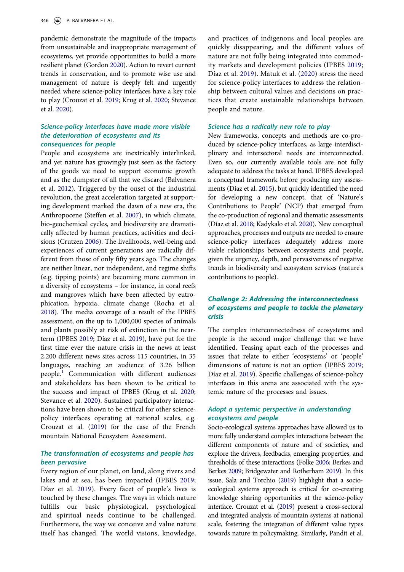pandemic demonstrate the magnitude of the impacts from unsustainable and inappropriate management of ecosystems, yet provide opportunities to build a more resilient planet (Gordon [2020\)](#page-8-9). Action to revert current trends in conservation, and to promote wise use and management of nature is deeply felt and urgently needed where science-policy interfaces have a key role to play (Crouzat et al. [2019;](#page-7-0) Krug et al. [2020](#page-8-4); Stevance et al. [2020](#page-8-3)).

#### *Science-policy interfaces have made more visible the deterioration of ecosystems and its consequences for people*

People and ecosystems are inextricably interlinked, and yet nature has growingly just seen as the factory of the goods we need to support economic growth and as the dumpster of all that we discard (Balvanera et al. [2012](#page-7-1)). Triggered by the onset of the industrial revolution, the great acceleration targeted at supporting development marked the dawn of a new era, the Anthropocene (Steffen et al. [2007\)](#page-8-10), in which climate, bio-geochemical cycles, and biodiversity are dramatically affected by human practices, activities and decisions (Crutzen [2006\)](#page-8-11). The livelihoods, well-being and experiences of current generations are radically different from those of only fifty years ago. The changes are neither linear, nor independent, and regime shifts (e.g. tipping points) are becoming more common in a diversity of ecosystems – for instance, in coral reefs and mangroves which have been affected by eutrophication, hypoxia, climate change (Rocha et al. [2018](#page-8-12)). The media coverage of a result of the IPBES assessment, on the up to 1,000,000 species of animals and plants possibly at risk of extinction in the nearterm (IPBES [2019](#page-8-0); Díaz et al. [2019\)](#page-8-1), have put for the first time ever the nature crisis in the news at least 2,200 different news sites across 115 countries, in 35 languages, reaching an audience of 3.26 billion people[.1](#page-7-2) Communication with different audiences and stakeholders has been shown to be critical to the success and impact of IPBES (Krug et al. [2020](#page-8-4); Stevance et al. [2020](#page-8-3)). Sustained participatory interactions have been shown to be critical for other sciencepolicy interfaces operating at national scales, e.g. Crouzat et al. [\(2019\)](#page-7-0) for the case of the French mountain National Ecosystem Assessment.

#### *The transformation of ecosystems and people has been pervasive*

Every region of our planet, on land, along rivers and lakes and at sea, has been impacted (IPBES [2019](#page-8-0); Díaz et al. [2019\)](#page-8-1). Every facet of people's lives is touched by these changes. The ways in which nature fulfills our basic physiological, psychological and spiritual needs continue to be challenged. Furthermore, the way we conceive and value nature itself has changed. The world visions, knowledge, and practices of indigenous and local peoples are quickly disappearing, and the different values of nature are not fully being integrated into commodity markets and development policies (IPBES [2019;](#page-8-0) Díaz et al. [2019\)](#page-8-1). Matuk et al. [\(2020](#page-8-13)) stress the need for science-policy interfaces to address the relationship between cultural values and decisions on practices that create sustainable relationships between people and nature.

#### *Science has a radically new role to play*

New frameworks, concepts and methods are co-produced by science-policy interfaces, as large interdisciplinary and intersectoral needs are interconnected. Even so, our currently available tools are not fully adequate to address the tasks at hand. IPBES developed a conceptual framework before producing any assessments (Díaz et al. [2015\)](#page-8-14), but quickly identified the need for developing a new concept, that of 'Nature's Contributions to People' (NCP) that emerged from the co-production of regional and thematic assessments (Díaz et al. [2018](#page-8-15); Kadykalo et al. [2020](#page-8-16)). New conceptual approaches, processes and outputs are needed to ensure science-policy interfaces adequately address more viable relationships between ecosystems and people, given the urgency, depth, and pervasiveness of negative trends in biodiversity and ecosystem services (nature's contributions to people).

#### *Challenge 2: Addressing the interconnectedness of ecosystems and people to tackle the planetary crisis*

The complex interconnectedness of ecosystems and people is the second major challenge that we have identified. Teasing apart each of the processes and issues that relate to either 'ecosystems' or 'people' dimensions of nature is not an option (IPBES [2019;](#page-8-0) Díaz et al. [2019\)](#page-8-1). Specific challenges of science-policy interfaces in this arena are associated with the systemic nature of the processes and issues.

## *Adopt a systemic perspective in understanding ecosystems and people*

Socio-ecological systems approaches have allowed us to more fully understand complex interactions between the different components of nature and of societies, and explore the drivers, feedbacks, emerging properties, and thresholds of these interactions (Folke [2006;](#page-8-17) Berkes and Berkes [2009;](#page-7-3) Bridgewater and Rotherham [2019\)](#page-7-4). In this issue, Sala and Torchio ([2019\)](#page-8-18) highlight that a socioecological systems approach is critical for co-creating knowledge sharing opportunities at the science-policy interface. Crouzat et al. ([2019](#page-7-0)) present a cross-sectoral and integrated analysis of mountain systems at national scale, fostering the integration of different value types towards nature in policymaking. Similarly, Pandit et al.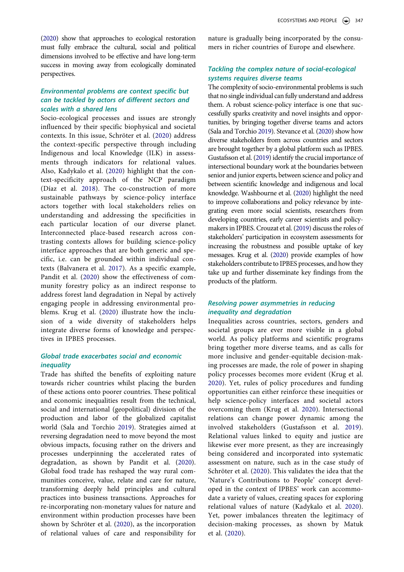[\(2020\)](#page-8-19) show that approaches to ecological restoration must fully embrace the cultural, social and political dimensions involved to be effective and have long-term success in moving away from ecologically dominated perspectives.

#### *Environmental problems are context specific but can be tackled by actors of different sectors and scales with a shared lens*

Socio-ecological processes and issues are strongly influenced by their specific biophysical and societal contexts. In this issue, Schröter et al. ([2020](#page-8-20)) address the context-specific perspective through including Indigenous and local Knowledge (ILK) in assessments through indicators for relational values. Also, Kadykalo et al. ([2020](#page-8-16)) highlight that the context-specificity approach of the NCP paradigm (Díaz et al. [2018\)](#page-8-15). The co-construction of more sustainable pathways by science-policy interface actors together with local stakeholders relies on understanding and addressing the specificities in each particular location of our diverse planet. Interconnected place-based research across contrasting contexts allows for building science-policy interface approaches that are both generic and specific, i.e. can be grounded within individual contexts (Balvanera et al. [2017](#page-7-5)). As a specific example, Pandit et al. [\(2020\)](#page-8-19) show the effectiveness of community forestry policy as an indirect response to address forest land degradation in Nepal by actively engaging people in addressing environmental problems. Krug et al. ([2020\)](#page-8-4) illustrate how the inclusion of a wide diversity of stakeholders helps integrate diverse forms of knowledge and perspectives in IPBES processes.

## *Global trade exacerbates social and economic inequality*

Trade has shifted the benefits of exploiting nature towards richer countries whilst placing the burden of these actions onto poorer countries. These political and economic inequalities result from the technical, social and international (geopolitical) division of the production and labor of the globalized capitalist world (Sala and Torchio [2019](#page-8-18)). Strategies aimed at reversing degradation need to move beyond the most obvious impacts, focusing rather on the drivers and processes underpinning the accelerated rates of degradation, as shown by Pandit et al. [\(2020\)](#page-8-19). Global food trade has reshaped the way rural communities conceive, value, relate and care for nature, transforming deeply held principles and cultural practices into business transactions. Approaches for re-incorporating non-monetary values for nature and environment within production processes have been shown by Schröter et al. ([2020\)](#page-8-20), as the incorporation of relational values of care and responsibility for

nature is gradually being incorporated by the consumers in richer countries of Europe and elsewhere.

#### *Tackling the complex nature of social-ecological systems requires diverse teams*

The complexity of socio-environmental problems is such that no single individual can fully understand and address them. A robust science-policy interface is one that successfully sparks creativity and novel insights and opportunities, by bringing together diverse teams and actors (Sala and Torchio [2019\)](#page-8-18). Stevance et al. [\(2020](#page-8-3)) show how diverse stakeholders from across countries and sectors are brought together by a global platform such as IPBES. Gustafsson et al. [\(2019](#page-8-5)) identify the crucial importance of intersectional boundary work at the boundaries between senior and junior experts, between science and policy and between scientific knowledge and indigenous and local knowledge. Washbourne et al. ([2020](#page-9-0)) highlight the need to improve collaborations and policy relevance by integrating even more social scientists, researchers from developing countries, early career scientists and policymakers in IPBES. Crouzat et al. [\(2019](#page-7-0)) discuss the roles of stakeholders' participation in ecosystem assessments for increasing the robustness and possible uptake of key messages. Krug et al. [\(2020\)](#page-8-4) provide examples of how stakeholders contribute to IPBES processes, and how they take up and further disseminate key findings from the products of the platform.

### *Resolving power asymmetries in reducing inequality and degradation*

Inequalities across countries, sectors, genders and societal groups are ever more visible in a global world. As policy platforms and scientific programs bring together more diverse teams, and as calls for more inclusive and gender-equitable decision-making processes are made, the role of power in shaping policy processes becomes more evident (Krug et al. [2020](#page-8-4)). Yet, rules of policy procedures and funding opportunities can either reinforce these inequities or help science-policy interfaces and societal actors overcoming them (Krug et al. [2020](#page-8-4)). Intersectional relations can change power dynamic among the involved stakeholders (Gustafsson et al. [2019](#page-8-5)). Relational values linked to equity and justice are likewise ever more present, as they are increasingly being considered and incorporated into systematic assessment on nature, such as in the case study of Schröter et al. [\(2020\)](#page-8-20). This validates the idea that the 'Nature's Contributions to People' concept developed in the context of IPBES' work can accommodate a variety of values, creating spaces for exploring relational values of nature (Kadykalo et al. [2020](#page-8-16)). Yet, power imbalances threaten the legitimacy of decision-making processes, as shown by Matuk et al. [\(2020\)](#page-8-13).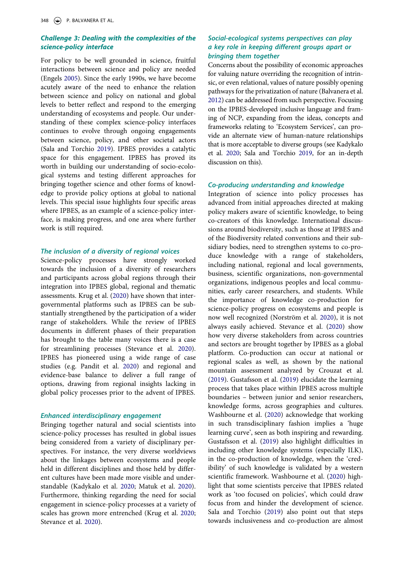#### *Challenge 3: Dealing with the complexities of the science-policy interface*

For policy to be well grounded in science, fruitful interactions between science and policy are needed (Engels [2005\)](#page-8-21). Since the early 1990s, we have become acutely aware of the need to enhance the relation between science and policy on national and global levels to better reflect and respond to the emerging understanding of ecosystems and people. Our understanding of these complex science-policy interfaces continues to evolve through ongoing engagements between science, policy, and other societal actors (Sala and Torchio [2019](#page-8-18)). IPBES provides a catalytic space for this engagement. IPBES has proved its worth in building our understanding of socio-ecological systems and testing different approaches for bringing together science and other forms of knowledge to provide policy options at global to national levels. This special issue highlights four specific areas where IPBES, as an example of a science-policy interface, is making progress, and one area where further work is still required.

#### *The inclusion of a diversity of regional voices*

Science-policy processes have strongly worked towards the inclusion of a diversity of researchers and participants across global regions through their integration into IPBES global, regional and thematic assessments. Krug et al. [\(2020](#page-8-4)) have shown that intergovernmental platforms such as IPBES can be substantially strengthened by the participation of a wider range of stakeholders. While the review of IPBES documents in different phases of their preparation has brought to the table many voices there is a case for streamlining processes (Stevance et al. [2020\)](#page-8-3). IPBES has pioneered using a wide range of case studies (e.g. Pandit et al. [2020](#page-8-19)) and regional and evidence-base balance to deliver a full range of options, drawing from regional insights lacking in global policy processes prior to the advent of IPBES.

#### *Enhanced interdisciplinary engagement*

Bringing together natural and social scientists into science-policy processes has resulted in global issues being considered from a variety of disciplinary perspectives. For instance, the very diverse worldviews about the linkages between ecosystems and people held in different disciplines and those held by different cultures have been made more visible and understandable (Kadykalo et al. [2020;](#page-8-16) Matuk et al. [2020\)](#page-8-13). Furthermore, thinking regarding the need for social engagement in science-policy processes at a variety of scales has grown more entrenched (Krug et al. [2020](#page-8-4); Stevance et al. [2020\)](#page-8-3).

## *Social-ecological systems perspectives can play a key role in keeping different groups apart or bringing them together*

Concerns about the possibility of economic approaches for valuing nature overriding the recognition of intrinsic, or even relational, values of nature possibly opening pathways for the privatization of nature (Balvanera et al. [2012](#page-7-1)) can be addressed from such perspective. Focusing on the IPBES-developed inclusive language and framing of NCP, expanding from the ideas, concepts and frameworks relating to 'Ecosystem Services', can provide an alternate view of human-nature relationships that is more acceptable to diverse groups (see Kadykalo et al. [2020](#page-8-16); Sala and Torchio [2019](#page-8-18), for an in-depth discussion on this).

#### *Co-producing understanding and knowledge*

Integration of science into policy processes has advanced from initial approaches directed at making policy makers aware of scientific knowledge, to being co-creators of this knowledge. International discussions around biodiversity, such as those at IPBES and of the Biodiversity related conventions and their subsidiary bodies, need to strengthen systems to co-produce knowledge with a range of stakeholders, including national, regional and local governments, business, scientific organizations, non-governmental organizations, indigenous peoples and local communities, early career researchers, and students. While the importance of knowledge co-production for science-policy progress on ecosystems and people is now well recognized (Norström et al. [2020\)](#page-8-22), it is not always easily achieved. Stevance et al. [\(2020\)](#page-8-3) show how very diverse stakeholders from across countries and sectors are brought together by IPBES as a global platform. Co-production can occur at national or regional scales as well, as shown by the national mountain assessment analyzed by Crouzat et al. [\(2019](#page-7-0)). Gustafsson et al. [\(2019\)](#page-8-5) elucidate the learning process that takes place within IPBES across multiple boundaries – between junior and senior researchers, knowledge forms, across geographies and cultures. Washbourne et al. ([2020\)](#page-9-0) acknowledge that working in such transdisciplinary fashion implies a 'huge learning curve', seen as both inspiring and rewarding. Gustafsson et al. ([2019](#page-8-5)) also highlight difficulties in including other knowledge systems (especially ILK), in the co-production of knowledge, when the 'credibility' of such knowledge is validated by a western scientific framework. Washbourne et al. [\(2020\)](#page-9-0) highlight that some scientists perceive that IPBES related work as 'too focused on policies', which could draw focus from and hinder the development of science. Sala and Torchio [\(2019\)](#page-8-18) also point out that steps towards inclusiveness and co-production are almost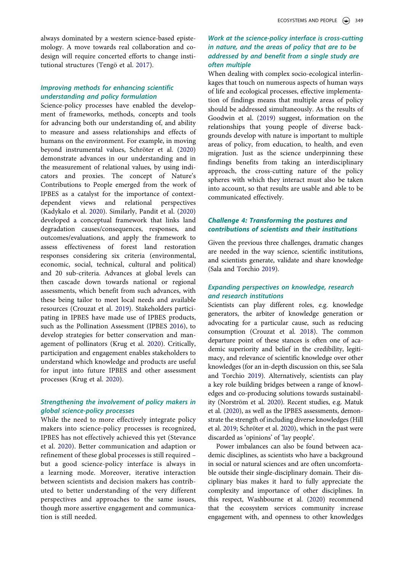always dominated by a western science-based epistemology. A move towards real collaboration and codesign will require concerted efforts to change institutional structures (Tengö et al. [2017\)](#page-8-23).

### *Improving methods for enhancing scientific understanding and policy formulation*

Science-policy processes have enabled the development of frameworks, methods, concepts and tools for advancing both our understanding of, and ability to measure and assess relationships and effects of humans on the environment. For example, in moving beyond instrumental values, Schröter et al. ([2020\)](#page-8-20) demonstrate advances in our understanding and in the measurement of relational values, by using indicators and proxies. The concept of Nature's Contributions to People emerged from the work of IPBES as a catalyst for the importance of contextdependent views and relational perspectives (Kadykalo et al. [2020\)](#page-8-16). Similarly, Pandit et al. ([2020\)](#page-8-19) developed a conceptual framework that links land degradation causes/consequences, responses, and outcomes/evaluations, and apply the framework to assess effectiveness of forest land restoration responses considering six criteria (environmental, economic, social, technical, cultural and political) and 20 sub-criteria. Advances at global levels can then cascade down towards national or regional assessments, which benefit from such advances, with these being tailor to meet local needs and available resources (Crouzat et al. [2019](#page-7-0)). Stakeholders participating in IPBES have made use of IPBES products, such as the Pollination Assessment (IPBES [2016](#page-8-24)), to develop strategies for better conservation and management of pollinators (Krug et al. [2020](#page-8-4)). Critically, participation and engagement enables stakeholders to understand which knowledge and products are useful for input into future IPBES and other assessment processes (Krug et al. [2020](#page-8-4)).

#### *Strengthening the involvement of policy makers in global science-policy processes*

While the need to more effectively integrate policy makers into science-policy processes is recognized, IPBES has not effectively achieved this yet (Stevance et al. [2020\)](#page-8-3). Better communication and adaption or refinement of these global processes is still required – but a good science-policy interface is always in a learning mode. Moreover, iterative interaction between scientists and decision makers has contributed to better understanding of the very different perspectives and approaches to the same issues, though more assertive engagement and communication is still needed.

#### *Work at the science-policy interface is cross-cutting in nature, and the areas of policy that are to be addressed by and benefit from a single study are often multiple*

When dealing with complex socio-ecological interlinkages that touch on numerous aspects of human ways of life and ecological processes, effective implementation of findings means that multiple areas of policy should be addressed simultaneously. As the results of Goodwin et al. [\(2019\)](#page-8-25) suggest, information on the relationships that young people of diverse backgrounds develop with nature is important to multiple areas of policy, from education, to health, and even migration. Just as the science underpinning these findings benefits from taking an interdisciplinary approach, the cross-cutting nature of the policy spheres with which they interact must also be taken into account, so that results are usable and able to be communicated effectively.

### *Challenge 4: Transforming the postures and contributions of scientists and their institutions*

Given the previous three challenges, dramatic changes are needed in the way science, scientific institutions, and scientists generate, validate and share knowledge (Sala and Torchio [2019\)](#page-8-18).

## *Expanding perspectives on knowledge, research and research institutions*

Scientists can play different roles, e.g. knowledge generators, the arbiter of knowledge generation or advocating for a particular cause, such as reducing consumption (Crouzat et al. [2018](#page-7-6)). The common departure point of these stances is often one of academic superiority and belief in the credibility, legitimacy, and relevance of scientific knowledge over other knowledges (for an in-depth discussion on this, see Sala and Torchio [2019](#page-8-18)). Alternatively, scientists can play a key role building bridges between a range of knowledges and co-producing solutions towards sustainability (Norström et al. [2020\)](#page-8-22). Recent studies, e.g. Matuk et al. ([2020\)](#page-8-13), as well as the IPBES assessments, demonstrate the strength of including diverse knowledges (Hill et al. [2019;](#page-8-26) Schröter et al. [2020](#page-8-20)), which in the past were discarded as 'opinions' of 'lay people'.

Power imbalances can also be found between academic disciplines, as scientists who have a background in social or natural sciences and are often uncomfortable outside their single-disciplinary domain. Their disciplinary bias makes it hard to fully appreciate the complexity and importance of other disciplines. In this respect, Washbourne et al. [\(2020\)](#page-9-0) recommend that the ecosystem services community increase engagement with, and openness to other knowledges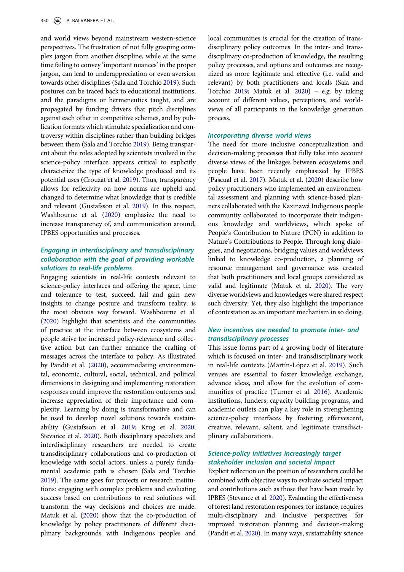and world views beyond mainstream western-science perspectives. The frustration of not fully grasping complex jargon from another discipline, while at the same time failing to convey 'important nuances' in the proper jargon, can lead to underappreciation or even aversion towards other disciplines (Sala and Torchio [2019](#page-8-18)). Such postures can be traced back to educational institutions, and the paradigms or hermeneutics taught, and are propagated by funding drivers that pitch disciplines against each other in competitive schemes, and by publication formats which stimulate specialization and controversy within disciplines rather than building bridges between them (Sala and Torchio [2019](#page-8-18)). Being transparent about the roles adopted by scientists involved in the science-policy interface appears critical to explicitly characterize the type of knowledge produced and its potential uses (Crouzat et al. [2019\)](#page-7-0). Thus, transparency allows for reflexivity on how norms are upheld and changed to determine what knowledge that is credible and relevant (Gustafsson et al. [2019\)](#page-8-5). In this respect, Washbourne et al. [\(2020\)](#page-9-0) emphasize the need to increase transparency of, and communication around, IPBES opportunities and processes.

## *Engaging in interdisciplinary and transdisciplinary collaboration with the goal of providing workable solutions to real-life problems*

Engaging scientists in real-life contexts relevant to science-policy interfaces and offering the space, time and tolerance to test, succeed, fail and gain new insights to change posture and transform reality, is the most obvious way forward. Washbourne et al. ([2020](#page-9-0)) highlight that scientists and the communities of practice at the interface between ecosystems and people strive for increased policy-relevance and collective action but can further enhance the crafting of messages across the interface to policy. As illustrated by Pandit et al. ([2020](#page-8-19)), accommodating environmental, economic, cultural, social, technical, and political dimensions in designing and implementing restoration responses could improve the restoration outcomes and increase appreciation of their importance and complexity. Learning by doing is transformative and can be used to develop novel solutions towards sustainability (Gustafsson et al. [2019;](#page-8-5) Krug et al. [2020](#page-8-4); Stevance et al. [2020](#page-8-3)). Both disciplinary specialists and interdisciplinary researchers are needed to create transdisciplinary collaborations and co-production of knowledge with social actors, unless a purely fundamental academic path is chosen (Sala and Torchio [2019\)](#page-8-18). The same goes for projects or research institutions: engaging with complex problems and evaluating success based on contributions to real solutions will transform the way decisions and choices are made. Matuk et al. [\(2020](#page-8-13)) show that the co-production of knowledge by policy practitioners of different disciplinary backgrounds with Indigenous peoples and

local communities is crucial for the creation of transdisciplinary policy outcomes. In the inter- and transdisciplinary co-production of knowledge, the resulting policy processes, and options and outcomes are recognized as more legitimate and effective (i.e. valid and relevant) by both practitioners and locals (Sala and Torchio [2019](#page-8-18); Matuk et al. [2020](#page-8-13)) – e.g. by taking account of different values, perceptions, and worldviews of all participants in the knowledge generation process.

#### *Incorporating diverse world views*

The need for more inclusive conceptualization and decision-making processes that fully take into account diverse views of the linkages between ecosystems and people have been recently emphasized by IPBES (Pascual et al. [2017](#page-8-27)). Matuk et al. ([2020](#page-8-13)) describe how policy practitioners who implemented an environmental assessment and planning with science-based planners collaborated with the Kaxinawá Indigenous people community collaborated to incorporate their indigenous knowledge and worldviews, which spoke of People's Contribution to Nature (PCN) in addition to Nature's Contributions to People. Through long dialogues, and negotiations, bridging values and worldviews linked to knowledge co-production, a planning of resource management and governance was created that both practitioners and local groups considered as valid and legitimate (Matuk et al. [2020](#page-8-13)). The very diverse worldviews and knowledges were shared respect such diversity. Yet, they also highlight the importance of contestation as an important mechanism in so doing.

## *New incentives are needed to promote inter- and transdisciplinary processes*

This issue forms part of a growing body of literature which is focused on inter- and transdisciplinary work in real-life contexts (Martín-López et al. [2019\)](#page-8-2). Such venues are essential to foster knowledge exchange, advance ideas, and allow for the evolution of communities of practice (Turner et al. [2016\)](#page-8-28). Academic institutions, funders, capacity building programs, and academic outlets can play a key role in strengthening science-policy interfaces by fostering effervescent, creative, relevant, salient, and legitimate transdisciplinary collaborations.

#### *Science-policy initiatives increasingly target stakeholder inclusion and societal impact*

Explicit reflection on the position of researchers could be combined with objective ways to evaluate societal impact and contributions such as those that have been made by IPBES (Stevance et al. [2020](#page-8-3)). Evaluating the effectiveness of forest land restoration responses, for instance, requires multi-disciplinary and inclusive perspectives for improved restoration planning and decision-making (Pandit et al. [2020](#page-8-19)). In many ways, sustainability science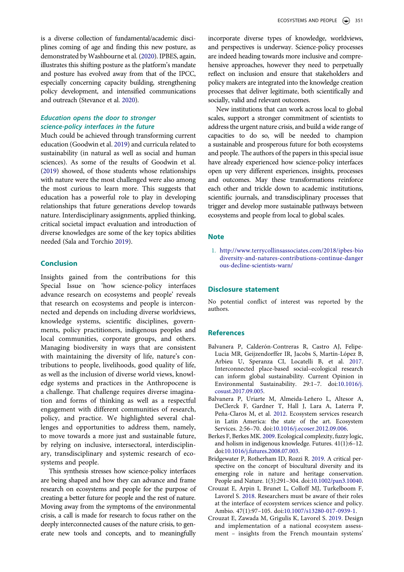is a diverse collection of fundamental/academic disciplines coming of age and finding this new posture, as demonstrated by Washbourne et al. [\(2020](#page-9-0)). IPBES, again, illustrates this shifting posture as the platform's mandate and posture has evolved away from that of the IPCC, especially concerning capacity building, strengthening policy development, and intensified communications and outreach (Stevance et al. [2020](#page-8-3)).

#### *Education opens the door to stronger science-policy interfaces in the future*

Much could be achieved through transforming current education (Goodwin et al. [2019\)](#page-8-25) and curricula related to sustainability (in natural as well as social and human sciences). As some of the results of Goodwin et al. ([2019](#page-8-25)) showed, of those students whose relationships with nature were the most challenged were also among the most curious to learn more. This suggests that education has a powerful role to play in developing relationships that future generations develop towards nature. Interdisciplinary assignments, applied thinking, critical societal impact evaluation and introduction of diverse knowledges are some of the key topics abilities needed (Sala and Torchio [2019](#page-8-18)).

#### **Conclusion**

Insights gained from the contributions for this Special Issue on 'how science-policy interfaces advance research on ecosystems and people' reveals that research on ecosystems and people is interconnected and depends on including diverse worldviews, knowledge systems, scientific disciplines, governments, policy practitioners, indigenous peoples and local communities, corporate groups, and others. Managing biodiversity in ways that are consistent with maintaining the diversity of life, nature's contributions to people, livelihoods, good quality of life, as well as the inclusion of diverse world views, knowledge systems and practices in the Anthropocene is a challenge. That challenge requires diverse imagination and forms of thinking as well as a respectful engagement with different communities of research, policy, and practice. We highlighted several challenges and opportunities to address them, namely, to move towards a more just and sustainable future, by relying on inclusive, intersectoral, interdisciplinary, transdisciplinary and systemic research of ecosystems and people.

This synthesis stresses how science-policy interfaces are being shaped and how they can advance and frame research on ecosystems and people for the purpose of creating a better future for people and the rest of nature. Moving away from the symptoms of the environmental crisis, a call is made for research to focus rather on the deeply interconnected causes of the nature crisis, to generate new tools and concepts, and to meaningfully incorporate diverse types of knowledge, worldviews, and perspectives is underway. Science-policy processes are indeed heading towards more inclusive and comprehensive approaches, however they need to perpetually reflect on inclusion and ensure that stakeholders and policy makers are integrated into the knowledge creation processes that deliver legitimate, both scientifically and socially, valid and relevant outcomes.

New institutions that can work across local to global scales, support a stronger commitment of scientists to address the urgent nature crisis, and build a wide range of capacities to do so, will be needed to champion a sustainable and prosperous future for both ecosystems and people. The authors of the papers in this special issue have already experienced how science-policy interfaces open up very different experiences, insights, processes and outcomes. May these transformations reinforce each other and trickle down to academic institutions, scientific journals, and transdisciplinary processes that trigger and develop more sustainable pathways between ecosystems and people from local to global scales.

#### **Note**

<span id="page-7-2"></span>1. [http://www.terrycollinsassociates.com/2018/ipbes-bio](http://www.terrycollinsassociates.com/2018/ipbes-biodiversity-and-natures-contributions-continue-dangerous-decline-scientists-warn/) [diversity-and-natures-contributions-continue-danger](http://www.terrycollinsassociates.com/2018/ipbes-biodiversity-and-natures-contributions-continue-dangerous-decline-scientists-warn/) [ous-decline-scientists-warn/](http://www.terrycollinsassociates.com/2018/ipbes-biodiversity-and-natures-contributions-continue-dangerous-decline-scientists-warn/) 

#### **Disclosure statement**

No potential conflict of interest was reported by the authors.

#### **References**

- <span id="page-7-5"></span>Balvanera P, Calderón-Contreras R, Castro AJ, Felipe-Lucia MR, Geijzendorffer IR, Jacobs S, Martín-López B, Arbieu U, Speranza CI, Locatelli B, et al. 2017. Interconnected place-based social–ecological research can inform global sustainability. Current Opinion in Environmental Sustainability. 29:1–7. doi:[10.1016/j.](https://doi.org/10.1016/j.cosust.2017.09.005) [cosust.2017.09.005.](https://doi.org/10.1016/j.cosust.2017.09.005)
- <span id="page-7-1"></span>Balvanera P, Uriarte M, Almeida-Leñero L, Altesor A, DeClerck F, Gardner T, Hall J, Lara A, Laterra P, Peña-Claros M, et al. 2012. Ecosystem services research in Latin America: the state of the art. Ecosystem Services. 2:56–70. doi:[10.1016/j.ecoser.2012.09.006](https://doi.org/10.1016/j.ecoser.2012.09.006).
- <span id="page-7-3"></span>Berkes F, Berkes MK. 2009. Ecological complexity, fuzzy logic, and holism in indigenous knowledge. Futures. 41(1):6–12. doi:[10.1016/j.futures.2008.07.003.](https://doi.org/10.1016/j.futures.2008.07.003)
- <span id="page-7-4"></span>Bridgewater P, Rotherham ID, Rozzi R. 2019. A critical perspective on the concept of biocultural diversity and its emerging role in nature and heritage conservation. People and Nature. 1(3):291–304. doi:[10.1002/pan3.10040](https://doi.org/10.1002/pan3.10040).
- <span id="page-7-6"></span>Crouzat E, Arpin I, Brunet L, Colloff MJ, Turkelboom F, Lavorel S. 2018. Researchers must be aware of their roles at the interface of ecosystem services science and policy. Ambio. 47(1):97–105. doi:[10.1007/s13280-017-0939-1](https://doi.org/10.1007/s13280-017-0939-1).
- <span id="page-7-0"></span>Crouzat E, Zawada M, Grigulis K, Lavorel S. 2019. Design and implementation of a national ecosystem assessment – insights from the French mountain systems'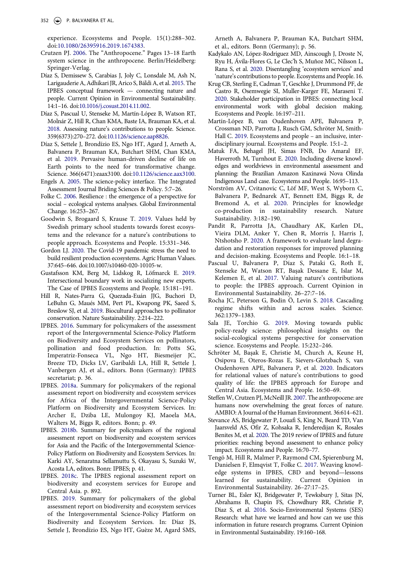experience. Ecosystems and People. 15(1):288–302. doi:[10.1080/26395916.2019.1674383](https://doi.org/10.1080/26395916.2019.1674383).

- <span id="page-8-11"></span>Crutzen PJ. 2006. The "Anthropocene." Pages 13–18 Earth system science in the anthropocene. Berlin/Heidelberg: Springer-Verlag.
- <span id="page-8-14"></span>Díaz S, Demissew S, Carabias J, Joly C, Lonsdale M, Ash N, Larigauderie A, Adhikari JR, Arico S, Báldi A, et al. 2015. The IPBES conceptual framework — connecting nature and people. Current Opinion in Environmental Sustainability. 14:1–16. doi:[10.1016/j.cosust.2014.11.002](https://doi.org/10.1016/j.cosust.2014.11.002).
- <span id="page-8-15"></span>Díaz S, Pascual U, Stenseke M, Martín-López B, Watson RT, Molnár Z, Hill R, Chan KMA, Baste IA, Brauman KA, et al. 2018. Assessing nature's contributions to people. Science. 359(6373):270–272. doi:[10.1126/science.aap8826](https://doi.org/10.1126/science.aap8826).
- <span id="page-8-1"></span>Díaz S, Settele J, Brondízio ES, Ngo HT, Agard J, Arneth A, Balvanera P, Brauman KA, Butchart SHM, Chan KMA, et al. 2019. Pervasive human-driven decline of life on Earth points to the need for transformative change. Science. 366(6471):eaax3100. doi:[10.1126/science.aax3100](https://doi.org/10.1126/science.aax3100).
- <span id="page-8-21"></span>Engels A. 2005. The science-policy interface. The Integrated Assessment Journal Briding Sciences & Policy. 5:7–26.
- <span id="page-8-17"></span>Folke C. 2006. Resilience : the emergence of a perspective for social – ecological systems analyses. Global Environmental Change. 16:253–267.
- <span id="page-8-25"></span>Goodwin S, Brogaard S, Krause T. 2019. Values held by Swedish primary school students towards forest ecosystems and the relevance for a nature's contributions to people approach. Ecosystems and People. 15:331–346.
- <span id="page-8-9"></span>Gordon LJ. 2020. The Covid-19 pandemic stress the need to build resilient production ecosystems. Agric Human Values. 37:645–646. doi:10.1007/s10460-020-10105-w.
- <span id="page-8-5"></span>Gustafsson KM, Berg M, Lidskog R, Löfmarck E. 2019. Intersectional boundary work in socializing new experts. The Case of IPBES Ecosystems and People. 15:181–191.
- <span id="page-8-26"></span>Hill R, Nates-Parra G, Quezada-Euán JJG, Buchori D, LeBuhn G, Maués MM, Pert PL, Kwapong PK, Saeed S, Breslow SJ, et al. 2019. Biocultural approaches to pollinator conservation. Nature Sustainability. 2:214–222.
- <span id="page-8-24"></span>IPBES. 2016. Summary for policymakers of the assessment report of the Intergovernmental Science-Policy Platform on Biodiversity and Ecosystem Services on pollinators, pollination and food production. In: Potts SG, Imperatriz-Fonseca VL, Ngo HT, Biesmeijer JC, Breeze TD, Dicks LV, Garibaldi LA, Hill R, Settele J, Vanbergen AJ, et al., editors. Bonn (Germany): IPBES secretariat; p. 36.
- <span id="page-8-6"></span>IPBES. 2018a. Summary for policymakers of the regional assessment report on biodiversity and ecosystem services for Africa of the Intergovernmental Science-Policy Platform on Biodiversity and Ecosystem Services. In: Archer E, Dziba LE, Mulongoy KJ, Maoela MA, Walters M, Biggs R, editors. Bonn; p. 49.
- <span id="page-8-7"></span>IPBES. 2018b. Summary for policymakers of the regional assessment report on biodiversity and ecosystem services for Asia and the Pacific of the Intergovernmental Science-Policy Platform on Biodiversity and Ecosystem Services. In: Karki AY, Senaratna Sellamuttu S, Okayasu S, Suzuki W, Acosta LA, editors. Bonn: IPBES; p. 41.
- <span id="page-8-8"></span>IPBES. 2018c. The IPBES regional assessment report on biodiversity and ecosystem services for Europe and Central Asia. p. 892.
- <span id="page-8-0"></span>IPBES. 2019. Summary for policymakers of the global assessment report on biodiversity and ecosystem services of the Intergovernmental Science-Policy Platform on Biodiversity and Ecosystem Services. In: Díaz JS, Settele J, Brondízio ES, Ngo HT, Guèze M, Agard SMS,

Arneth A, Balvanera P, Brauman KA, Butchart SHM, et al., editors. Bonn (Germany); p. 56.

- <span id="page-8-16"></span>Kadykalo AN, López-Rodriguez MD, Ainscough J, Droste N, Ryu H, Ávila-Flores G, Le Clec'h S, Muñoz MC, Nilsson L, Rana S, et al. 2020. Disentangling 'ecosystem services' and 'nature's contributions to people. Ecosystems and People. 16.
- <span id="page-8-4"></span>Krug CB, Sterling E, Cadman T, Geschke J, Drummond PF, de Castro R, Osemwegie SI, Muller-Karger FE, Maraseni T. 2020. Stakeholder participation in IPBES: connecting local environmental work with global decision making. Ecosystems and People. 16:197–211.
- <span id="page-8-2"></span>Martín-López B, van Oudenhoven APE, Balvanera P, Crossman ND, Parrotta J, Rusch GM, Schröter M, Smith-Hall C. 2019. Ecosystems and people – an inclusive, interdisciplinary journal. Ecosystems and People. 15:1–2.
- <span id="page-8-13"></span>Matuk FA, Behagel JH, Simas FNB, Do Amaral EF, Haverroth M, Turnhout E. 2020. Including diverse knowledges and worldviews in environmental assessment and planning: the Brazilian Amazon Kaxinawá Nova Olinda Indigenous Land case. Ecosystems and People. 16:95–113.
- <span id="page-8-22"></span>Norström AV, Cvitanovic C, Löf MF, West S, Wyborn C, Balvanera P, Bednarek AT, Bennett EM, Biggs R, de Bremond A, et al. 2020. Principles for knowledge co-production in sustainability research. Nature Sustainability. 3:182–190.
- <span id="page-8-19"></span>Pandit R, Parrotta JA, Chaudhary AK, Karlen DL, Vieira DLM, Anker Y, Chen R, Morris J, Harris J, Ntshotsho P. 2020. A framework to evaluate land degradation and restoration responses for improved planning and decision-making. Ecosystems and People. 16:1–18.
- <span id="page-8-27"></span>Pascual U, Balvanera P, Díaz S, Pataki G, Roth E, Stenseke M, Watson RT, Başak Dessane E, Islar M, Kelemen E, et al. 2017. Valuing nature's contributions to people: the IPBES approach. Current Opinion in Environmental Sustainability. 26–27:7–16.
- <span id="page-8-12"></span>Rocha JC, Peterson G, Bodin Ö, Levin S. 2018. Cascading regime shifts within and across scales. Science. 362:1379–1383.
- <span id="page-8-18"></span>Sala JE, Torchio G. 2019. Moving towards public policy-ready science: philosophical insights on the social-ecological systems perspective for conservation science. Ecosystems and People. 15:232–246.
- <span id="page-8-20"></span>Schröter M, Başak E, Christie M, Church A, Keune H, Osipova E, Oteros-Rozas E, Sievers-Glotzbach S, van Oudenhoven APE, Balvanera P, et al. 2020. Indicators for relational values of nature's contributions to good quality of life: the IPBES approach for Europe and Central Asia. Ecosystems and People. 16:50–69.
- <span id="page-8-10"></span>Steffen W, Crutzen PJ, McNeill JR. 2007. The anthropocene: are humans now overwhelming the great forces of nature. AMBIO: A Journal of the Human Environment. 36:614–621.
- <span id="page-8-3"></span>Stevance AS, Bridgewater P, Louafi S, King N, Beard TD, Van Jaarsveld AS, Ofir Z, Kohsaka R, Jenderedijan K, Rosales Benites M, et al. 2020. The 2019 review of IPBES and future priorities: reaching beyond assessment to enhance policy impact. Ecosystems and People. 16:70–77.
- <span id="page-8-23"></span>Tengö M, Hill R, Malmer P, Raymond CM, Spierenburg M, Danielsen F, Elmqvist T, Folke C. 2017. Weaving knowledge systems in IPBES, CBD and beyond—lessons learned for sustainability. Current Opinion in Environmental Sustainability. 26–27:17–25.
- <span id="page-8-28"></span>Turner BL, Esler KJ, Bridgewater P, Tewksbury J, Sitas JN, Abrahams B, Chapin FS, Chowdhury RR, Christie P, Diaz S, et al. 2016. Socio-Environmental Systems (SES) Research: what have we learned and how can we use this information in future research programs. Current Opinion in Environmental Sustainability. 19:160–168.